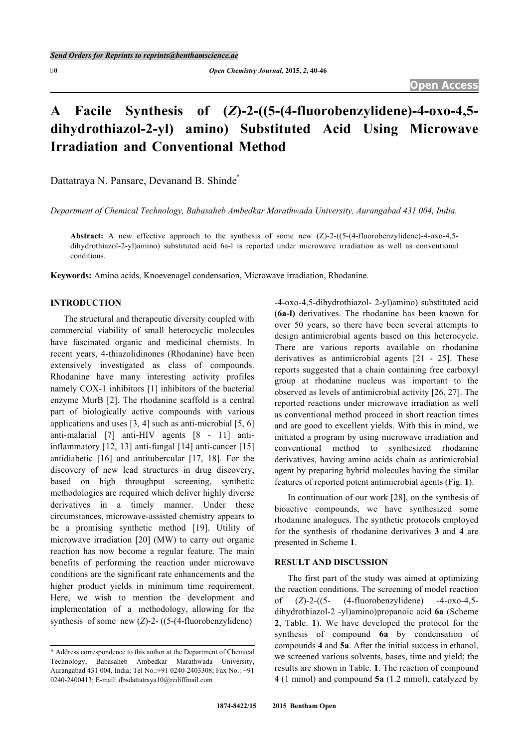# **A Facile Synthesis of (***Z***)-2-((5-(4-fluorobenzylidene)-4-oxo-4,5 dihydrothiazol-2-yl) amino) Substituted Acid Using Microwave Irradiation and Conventional Method**

Dattatraya N. Pansare, Devanand B. Shinde[\\*](#page-0-0)

*Department of Chemical Technology, Babasaheb Ambedkar Marathwada University, Aurangabad 431 004, India.*

**Abstract:** A new effective approach to the synthesis of some new (Z)-2-((5-(4-fluorobenzylidene)-4-oxo-4,5 dihydrothiazol-2-yl)amino) substituted acid 6a-l is reported under microwave irradiation as well as conventional conditions.

**Keywords:** Amino acids, Knoevenagel condensation, Microwave irradiation, Rhodanine.

# **INTRODUCTION**

The structural and therapeutic diversity coupled with commercial viability of small heterocyclic molecules have fascinated organic and medicinal chemists. In recent years, 4-thiazolidinones (Rhodanine) have been extensively investigated as class of compounds. Rhodanine have many interesting activity profiles namely COX-1 inhibitors [\[1](#page-5-0)] inhibitors of the bacterial enzyme MurB [[2\]](#page-5-1). The rhodanine scaffold is a central part of biologically active compounds with various applications and uses [[3,](#page-5-2) [4](#page-5-3)] such as anti-microbial [[5,](#page-5-4) [6\]](#page-5-5) anti-malarial[[7\]](#page-5-6) anti-HIV agents[[8](#page-5-7) - [11\]](#page-5-8) antiinflammatory [[12](#page-5-9), [13](#page-5-10)] anti-fungal [[14\]](#page-5-11) anti-cancer [[15\]](#page-5-12) antidiabetic[[16](#page-6-0)] and antitubercular[[17](#page-6-1), [18\]](#page-6-2). For the discovery of new lead structures in drug discovery, based on high throughput screening, synthetic methodologies are required which deliver highly diverse derivatives in a timely manner. Under these circumstances, microwave-assisted chemistry appears to be a promising synthetic method[[19](#page-6-3)]. Utility of microwave irradiation [[20\]](#page-6-4) (MW) to carry out organic reaction has now become a regular feature. The main benefits of performing the reaction under microwave conditions are the significant rate enhancements and the higher product yields in minimum time requirement. Here, we wish to mention the development and implementation of a methodology, allowing for the synthesis of some new (*Z*)-2- ((5-(4-fluorobenzylidene)

-4-oxo-4,5-dihydrothiazol- 2-yl)amino) substituted acid (**6a-l)** derivatives. The rhodanine has been known for over 50 years, so there have been several attempts to design antimicrobial agents based on this heterocycle. There are various reports available on rhodanine derivatives as antimicrobial agents [\[21](#page-6-5) - [25\]](#page-6-6). These reports suggested that a chain containing free carboxyl group at rhodanine nucleus was important to the observed as levels of antimicrobial activity [\[26](#page-6-0), [27](#page-6-7)]. The reported reactions under microwave irradiation as well as conventional method proceed in short reaction times and are good to excellent yields. With this in mind, we initiated a program by using microwave irradiation and conventional method to synthesized rhodanine derivatives, having amino acids chain as antimicrobial agent by preparing hybrid molecules having the similar features of reported potent antimicrobial agents (Fig. **[1](#page-2-0)**).

In continuation of our work [\[28](#page-6-8)], on the synthesis of bioactive compounds, we have synthesized some rhodanine analogues. The synthetic protocols employed for the synthesis of rhodanine derivatives **3** and **4** are presented in Scheme **[1](#page-1-0)**.

## **RESULT AND DISCUSSION**

The first part of the study was aimed at optimizing the reaction conditions. The screening of model reaction of (*Z*)-2-((5- (4-fluorobenzylidene) -4-oxo-4,5 dihydrothiazol-2 -yl)amino)propanoic acid **6a** (Scheme **[2](#page-2-1)**, Table.**1**). We have developed the protocol for the synthesis of compound **6a** by condensation of compounds **4** and **5a**. After the initial success in ethanol, we screened various solvents, bases, time and yield; the results are shown in Table. **[1](#page-1-1)**. The reaction of compound **4** (1 mmol) and compound **5a** (1.2 mmol), catalyzed by

<span id="page-0-0"></span><sup>\*</sup> Address correspondence to this author at the Department of Chemical Technology, Babasaheb Ambedkar Marathwada University, Aurangabad 431 004, India; Tel No.:+91 0240-2403308; Fax No.: +91 0240-2400413; E-mail: [dbsdattatraya10@rediffmail.com](mailto:dbsdattatraya10@rediffmail.com)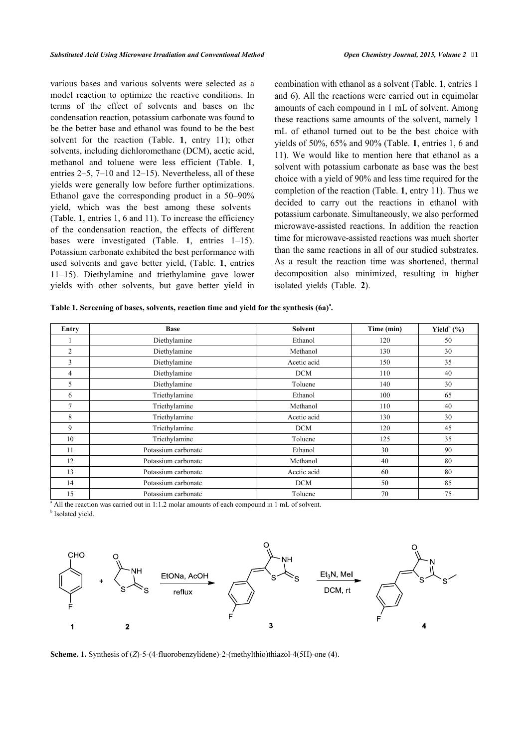various bases and various solvents were selected as a model reaction to optimize the reactive conditions. In terms of the effect of solvents and bases on the condensation reaction, potassium carbonate was found to be the better base and ethanol was found to be the best solvent for the reaction (Table.**1**, entry 11); other solvents, including dichloromethane (DCM), acetic acid, methanol and toluene were less efficient (Table.**1**, entries 2–5, 7–10 and 12–15). Nevertheless, all of these yields were generally low before further optimizations. Ethanol gave the corresponding product in a 50–90% yield, which was the best among these solvents (Table. **[1](#page-1-1)**, entries 1, 6 and 11). To increase the efficiency of the condensation reaction, the effects of different bases were investigated (Table.**1**, entries 1–15). Potassium carbonate exhibited the best performance with used solvents and gave better yield, (Table.**1**, entries 11–15). Diethylamine and triethylamine gave lower yields with other solvents, but gave better yield in combination with ethanol as a solvent (Table. **[1](#page-1-1)**, entries 1 and 6). All the reactions were carried out in equimolar amounts of each compound in 1 mL of solvent. Among these reactions same amounts of the solvent, namely 1 mL of ethanol turned out to be the best choice with yields of 50%, 65% and 90% (Table. **[1](#page-1-1)**, entries 1, 6 and 11). We would like to mention here that ethanol as a solvent with potassium carbonate as base was the best choice with a yield of 90% and les[s t](#page-1-1)ime required for the completion of the reaction (Table. **1**, entry 11). Thus we decided to carry out the reactions in ethanol with potassium carbonate. Simultaneously, we also performed microwave-assisted reactions. In addition the reaction time for microwave-assisted reactions was much shorter than the same reactions in all of our studied substrates. As a result the reaction time was shortened, thermal decomposition also [mi](#page-2-2)nimized, resulting in higher isolated yields (Table. **2**).

<span id="page-1-1"></span>

| Table 1. Screening of bases, solvents, reaction time and yield for the synthesis (6a) <sup>a</sup> . |  |  |  |  |  |
|------------------------------------------------------------------------------------------------------|--|--|--|--|--|
|                                                                                                      |  |  |  |  |  |

| Entry          | <b>Base</b>         | Solvent     | Time (min) | Yield $^b$ (%) |
|----------------|---------------------|-------------|------------|----------------|
|                | Diethylamine        | Ethanol     | 120        | 50             |
| $\overline{2}$ | Diethylamine        | Methanol    | 130        | 30             |
| 3              | Diethylamine        | Acetic acid | 150        | 35             |
| 4              | Diethylamine        | <b>DCM</b>  | 110        | 40             |
| 5              | Diethylamine        | Toluene     | 140        | 30             |
| 6              | Triethylamine       | Ethanol     | 100        | 65             |
| $\tau$         | Triethylamine       | Methanol    | 110        | 40             |
| 8              | Triethylamine       | Acetic acid | 130        | 30             |
| 9              | Triethylamine       | <b>DCM</b>  | 120        | 45             |
| 10             | Triethylamine       | Toluene     | 125        | 35             |
| 11             | Potassium carbonate | Ethanol     | 30         | 90             |
| 12             | Potassium carbonate | Methanol    | 40         | 80             |
| 13             | Potassium carbonate | Acetic acid | 60         | 80             |
| 14             | Potassium carbonate | <b>DCM</b>  | 50         | 85             |
| 15             | Potassium carbonate | Toluene     | 70         | 75             |

<sup>a</sup> All the reaction was carried out in 1:1.2 molar amounts of each compound in 1 mL of solvent.

**b** Isolated yield.

<span id="page-1-0"></span>

**Scheme. 1.** Synthesis of (*Z*)-5-(4-fluorobenzylidene)-2-(methylthio)thiazol-4(5H)-one (**4**).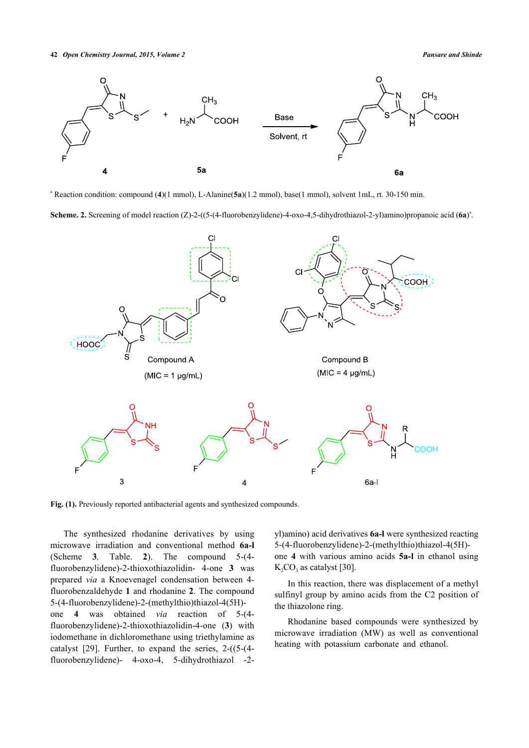#### **42** *Open Chemistry Journal, 2015, Volume 2 Pansare and Shinde*

<span id="page-2-1"></span>

a Reaction condition: compound (**4**)(1 mmol), L-Alanine(**5a**)(1.2 mmol), base(1 mmol), solvent 1mL, rt. 30-150 min.

Scheme. 2. Screening of model reaction (Z)-2-((5-(4-fluorobenzylidene)-4-oxo-4,5-dihydrothiazol-2-yl)amino)propanoic acid (6a)<sup>a</sup>.

<span id="page-2-0"></span>

Fig. (1). Previously reported antibacterial agents and synthesized compounds.

<span id="page-2-2"></span>The synthesized rhodanine derivatives by using microwave irradiation and conventional method **6a-l** (Scheme**3***,* Table.**2**). The compound 5-(4 fluorobenzylidene)-2-thioxothiazolidin- 4-one **3** was prepared *via* a Knoevenagel condensation between 4 fluorobenzaldehyde **1** and rhodanine **2**. The compound 5-(4-fluorobenzylidene)-2-(methylthio)thiazol-4(5H) one **4** was obtained *via* reaction of 5-(4 fluorobenzylidene)-2-thioxothiazolidin-4-one (**3**) with iodomethane in dichloromethane using triethylamine as catalyst [\[29\]](#page-6-9). Further, to expand the series, 2-((5-(4 fluorobenzylidene)- 4-oxo-4, 5-dihydrothiazol -2yl)amino) acid derivatives **6a-l** were synthesized reacting 5-(4-fluorobenzylidene)-2-(methylthio)thiazol-4(5H) one **4** with various amino acids **5a-l** in ethanol using  $K_2CO_3$  as catalyst [\[30](#page-6-10)].

In this reaction, there was displacement of a methyl sulfinyl group by amino acids from the C2 position of the thiazolone ring.

Rhodanine based compounds were synthesized by microwave irradiation (MW) as well as conventional heating with potassium carbonate and ethanol.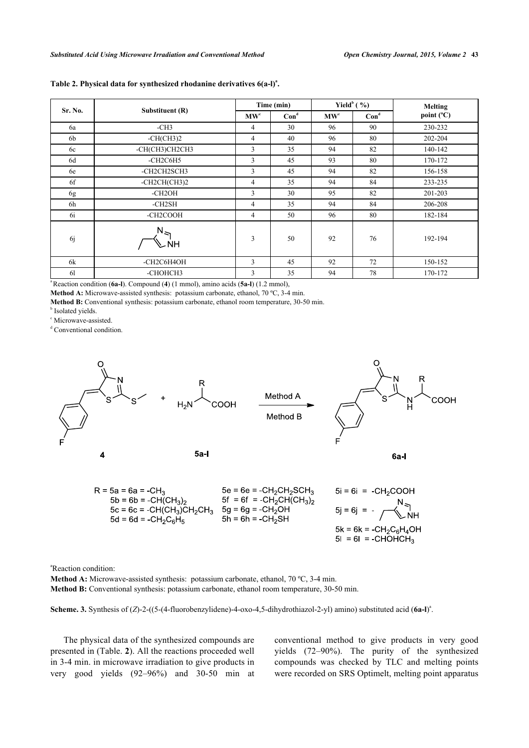|                |                    | Time (min)               |         | Yield $^{\rm b}$ (%)                |         | <b>Melting</b> |  |
|----------------|--------------------|--------------------------|---------|-------------------------------------|---------|----------------|--|
| Sr. No.        | Substituent (R)    | $\mathbf{M}\mathbf{W}^c$ | $Con^d$ | $\mathbf{M}\mathbf{W}^{\mathbf{c}}$ | $Con^d$ | point (°C)     |  |
| 6a             | $-CH3$             | $\overline{4}$           | 30      | 96                                  | 90      | 230-232        |  |
| 6b             | $-CH(CH3)2$        | $\overline{4}$           | 40      | 96                                  | 80      | 202-204        |  |
| 6c             | -CH(CH3)CH2CH3     | 3                        | 35      | 94                                  | 82      | 140-142        |  |
| 6d             | -CH2C6H5           | 3                        | 45      | 93                                  | 80      | 170-172        |  |
| 6e             | -CH2CH2SCH3        | 3                        | 45      | 94                                  | 82      | 156-158        |  |
| 6f             | $-CH2CH(CH3)2$     | $\overline{4}$           | 35      | 94                                  | 84      | 233-235        |  |
| 6g             | $-CH2OH$           | 3                        | 30      | 95                                  | 82      | 201-203        |  |
| 6h             | -CH2SH             | $\overline{4}$           | 35      | 94                                  | 84      | 206-208        |  |
| 6i             | -CH2COOH           | $\overline{4}$           | 50      | 96                                  | 80      | 182-184        |  |
| <sub>6</sub> j | $N_{\leq 1}$<br>NΗ | $\overline{3}$           | 50      | 92                                  | 76      | 192-194        |  |
| 6k             | -CH2C6H4OH         | 3                        | 45      | 92                                  | 72      | 150-152        |  |
| 61             | -СНОНСНЗ           | 3                        | 35      | 94                                  | 78      | 170-172        |  |

## **Table 2. Physical data for synthesized rhodanine derivatives 6(a-l)<sup>a</sup> .**

Reaction condition (6a-l). Compound (4) (1 mmol), amino acids (5a-l) (1.2 mmol),

Method A: Microwave-assisted synthesis: potassium carbonate, ethanol, 70 °C, 3-4 min.

**Method B:** Conventional synthesis: potassium carbonate, ethanol room temperature, 30-50 min.

**b** Isolated yields.

c Microwave-assisted.

d Conventional condition.

<span id="page-3-0"></span>

<sup>a</sup>Reaction condition:

**Method A:** Microwave-assisted synthesis: potassium carbonate, ethanol, 70 °C, 3-4 min.

**Method B:** Conventional synthesis: potassium carbonate, ethanol room temperature, 30-50 min.

Scheme. 3. Synthesis of (*Z*)-2-((5-(4-fluorobenzylidene)-4-oxo-4,5-dihydrothiazol-2-yl) amino) substituted acid (6a-l)<sup>a</sup>.

The physical data of the synthesized compounds are presented in (Table. **[2](#page-2-2)**). All the reactions proceeded well in 3-4 min. in microwave irradiation to give products in very good yields (92–96%) and 30-50 min at conventional method to give products in very good yields (72–90%). The purity of the synthesized compounds was checked by TLC and melting points were recorded on SRS Optimelt, melting point apparatus

 $5I = 6I = -CHOHCH<sub>3</sub>$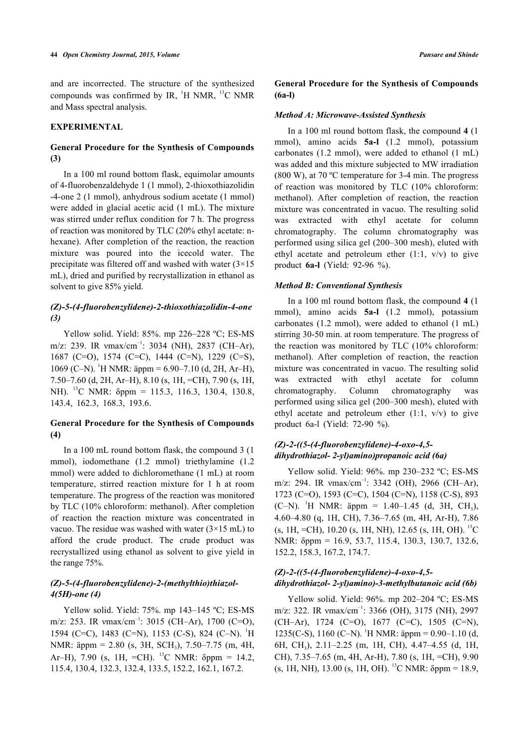and are incorrected. The structure of the synthesized compounds was confirmed by IR,  $H$  NMR,  $H^3C$  NMR and Mass spectral analysis.

#### **EXPERIMENTAL**

## **General Procedure for the Synthesis of Compounds (3)**

In a 100 ml round bottom flask, equimolar amounts of 4-fluorobenzaldehyde 1 (1 mmol), 2-thioxothiazolidin -4-one 2 (1 mmol), anhydrous sodium acetate (1 mmol) were added in glacial acetic acid (1 mL). The mixture was stirred under reflux condition for 7 h. The progress of reaction was monitored by TLC (20% ethyl acetate: nhexane). After completion of the reaction, the reaction mixture was poured into the icecold water. The precipitate was filtered off and washed with water  $(3\times15)$ mL), dried and purified by recrystallization in ethanol as solvent to give 85% yield.

# *(Z)-5-(4-fluorobenzylidene)-2-thioxothiazolidin-4-one (3)*

Yellow solid. Yield: 85%. mp 226–228 ºC; ES-MS m/z: 239. IR  $vmax/cm^{-1}$ : 3034 (NH), 2837 (CH–Ar), 1687 (C=O), 1574 (C=C), 1444 (C=N), 1229 (C=S), 1069 (C–N). <sup>1</sup>H NMR: äppm = 6.90–7.10 (d, 2H, Ar–H), 7.50–7.60 (d, 2H, Ar–H), 8.10 (s, 1H, =CH), 7.90 (s, 1H, NH). <sup>13</sup>C NMR: δppm = 115.3, 116.3, 130.4, 130.8, 143.4, 162.3, 168.3, 193.6.

# **General Procedure for the Synthesis of Compounds (4)**

In a 100 mL round bottom flask, the compound 3 (1 mmol), iodomethane (1.2 mmol) triethylamine (1.2 mmol) were added to dichloromethane (1 mL) at room temperature, stirred reaction mixture for 1 h at room temperature. The progress of the reaction was monitored by TLC (10% chloroform: methanol). After completion of reaction the reaction mixture was concentrated in vacuo. The residue was washed with water  $(3\times15 \text{ mL})$  to afford the crude product. The crude product was recrystallized using ethanol as solvent to give yield in the range 75%.

# *(Z)-5-(4-fluorobenzylidene)-2-(methylthio)thiazol-4(5H)-one (4)*

Yellow solid. Yield: 75%. mp 143-145 °C; ES-MS m/z: 253. IR vmax/cm<sup>-1</sup>: 3015 (CH–Ar), 1700 (C=O), 1594 (C=C), 1483 (C=N), 1153 (C-S), 824 (C-N). <sup>1</sup>H NMR: äppm = 2.80 (s, 3H, SCH<sub>3</sub>), 7.50–7.75 (m, 4H, Ar–H), 7.90 (s, 1H, =CH). <sup>13</sup>C NMR:  $\delta$ ppm = 14.2, 115.4, 130.4, 132.3, 132.4, 133.5, 152.2, 162.1, 167.2.

**General Procedure for the Synthesis of Compounds (6a-l)**

## *Method A: Microwave-Assisted Synthesis*

In a 100 ml round bottom flask, the compound **4** (1 mmol), amino acids **5a-l** (1.2 mmol), potassium carbonates (1.2 mmol), were added to ethanol (1 mL) was added and this mixture subjected to MW irradiation (800 W), at 70 ºC temperature for 3-4 min. The progress of reaction was monitored by TLC (10% chloroform: methanol). After completion of reaction, the reaction mixture was concentrated in vacuo. The resulting solid was extracted with ethyl acetate for column chromatography. The column chromatography was performed using silica gel (200–300 mesh), eluted with ethyl acetate and petroleum ether  $(1:1, v/v)$  to give product **6a-l** (Yield: 92-96 %).

#### *Method B: Conventional Synthesis*

In a 100 ml round bottom flask, the compound **4** (1 mmol), amino acids **5a-l** (1.2 mmol), potassium carbonates (1.2 mmol), were added to ethanol (1 mL) stirring 30-50 min. at room temperature. The progress of the reaction was monitored by TLC (10% chloroform: methanol). After completion of reaction, the reaction mixture was concentrated in vacuo. The resulting solid was extracted with ethyl acetate for column chromatography. Column chromatography was performed using silica gel (200–300 mesh), eluted with ethyl acetate and petroleum ether  $(1:1, v/v)$  to give product 6a-l (Yield: 72-90 %).

# *(Z)-2-((5-(4-fluorobenzylidene)-4-oxo-4,5 dihydrothiazol- 2-yl)amino)propanoic acid (6a)*

Yellow solid. Yield: 96%. mp 230-232 °C; ES-MS m/z: 294. IR  $vmax/cm^{-1}$ : 3342 (OH), 2966 (CH–Ar), 1723 (C=O), 1593 (C=C), 1504 (C=N), 1158 (C-S), 893  $(C-N)$ . <sup>1</sup>H NMR: äppm = 1.40–1.45 (d, 3H, CH<sub>3</sub>), 4.60–4.80 (q, 1H, CH), 7.36–7.65 (m, 4H, Ar-H), 7.86  $(s, 1H, =CH)$ , 10.20  $(s, 1H, NH)$ , 12.65  $(s, 1H, OH)$ . <sup>13</sup>C NMR: δppm = 16.9, 53.7, 115.4, 130.3, 130.7, 132.6, 152.2, 158.3, 167.2, 174.7.

## *(Z)-2-((5-(4-fluorobenzylidene)-4-oxo-4,5 dihydrothiazol- 2-yl)amino)-3-methylbutanoic acid (6b)*

Yellow solid. Yield: 96%. mp 202-204 °C; ES-MS m/z: 322. IR vmax/cm<sup>-1</sup>: 3366 (OH), 3175 (NH), 2997 (CH–Ar), 1724 (C=O), 1677 (C=C), 1505 (C=N), 1235(C-S), 1160 (C-N). <sup>1</sup>H NMR: äppm =  $0.90-1.10$  (d, 6H, CH<sup>3</sup> ), 2.11–2.25 (m, 1H, CH), 4.47–4.55 (d, 1H, CH), 7.35–7.65 (m, 4H, Ar-H), 7.80 (s, 1H, =CH), 9.90 (s, 1H, NH), 13.00 (s, 1H, OH). <sup>13</sup>C NMR:  $\delta$ ppm = 18.9,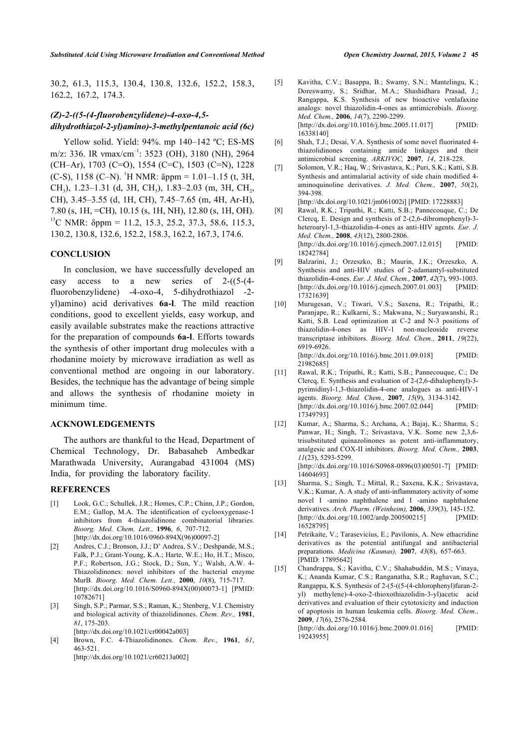<span id="page-5-4"></span>30.2, 61.3, 115.3, 130.4, 130.8, 132.6, 152.2, 158.3, 162.2, 167.2, 174.3.

# *(Z)-2-((5-(4-fluorobenzylidene)-4-oxo-4,5 dihydrothiazol-2-yl)amino)-3-methylpentanoic acid (6c)*

<span id="page-5-6"></span><span id="page-5-5"></span>Yellow solid. Yield: 94%. mp 140–142 ºC; ES-MS m/z: 336. IR  $vmax/cm^{-1}$ : 3523 (OH), 3180 (NH), 2964 (CH–Ar), 1703 (C=O), 1554 (C=C), 1503 (C=N), 1228 (C-S), 1158 (C–N). <sup>1</sup>H NMR: äppm = 1.01–1.15 (t, 3H, CH<sub>3</sub>), 1.23–1.31 (d, 3H, CH<sub>3</sub>), 1.83–2.03 (m, 3H, CH<sub>2</sub>, CH), 3.45–3.55 (d, 1H, CH), 7.45–7.65 (m, 4H, Ar-H), 7.80 (s, 1H, =CH), 10.15 (s, 1H, NH), 12.80 (s, 1H, OH). <sup>13</sup>C NMR:  $\delta$ ppm = 11.2, 15.3, 25.2, 37.3, 58.6, 115.3, 130.2, 130.8, 132.6, 152.2, 158.3, 162.2, 167.3, 174.6.

## <span id="page-5-7"></span>**CONCLUSION**

In conclusion, we have successfully developed an easy access to a new series of 2-((5-(4 fluorobenzylidene) -4-oxo-4, 5-dihydrothiazol -2 yl)amino) acid derivatives **6a-l**. The mild reaction conditions, good to excellent yields, easy workup, and easily available substrates make the reactions attractive for the preparation of compounds **6a-l**. Efforts towards the synthesis of other important drug molecules with a rhodanine moiety by microwave irradiation as well as conventional method are ongoing in our laboratory. Besides, the technique has the advantage of being simple and allows the synthesis of rhodanine moiety in minimum time.

## <span id="page-5-9"></span><span id="page-5-8"></span>**ACKNOWLEDGEMENTS**

The authors are thankful to the Head, Department of Chemical Technology, Dr. Babasaheb Ambedkar Marathwada University, Aurangabad 431004 (MS) India, for providing the laboratory facility.

### <span id="page-5-10"></span>**REFERENCES**

- <span id="page-5-0"></span>[1] Look, G.C.; Schullek, J.R.; Homes, C.P.; Chinn, J.P.; Gordon, E.M.; Gallop, M.A. The identification of cyclooxygenase-1 inhibitors from 4-thiazolidinone combinatorial libraries. *Bioorg. Med. Chem. Lett.,* **1996**, *6*, 707-712. [[http://dx.doi.org/10.1016/0960-894X\(96\)00097-2](http://dx.doi.org/10.1016/0960-894X(96)00097-2)]
- <span id="page-5-12"></span><span id="page-5-11"></span><span id="page-5-1"></span>[2] Andres, C.J.; Bronson, J.J.; D' Andrea, S.V.; Deshpande, M.S.; Falk, P.J.; Grant-Young, K.A.; Harte, W.E.; Ho, H.T.; Misco, P.F.; Robertson, J.G.; Stock, D.; Sun, Y.; Walsh, A.W. 4- Thiazolidinones: novel inhibitors of the bacterial enzyme MurB. *Bioorg. Med. Chem. Lett.,* **2000**, *10*(8), 715-717. [[http://dx.doi.org/10.1016/S0960-894X\(00\)00073-1](http://dx.doi.org/10.1016/S0960-894X(00)00073-1)] [PMID: [10782671\]](http://www.ncbi.nlm.nih.gov/pubmed/10782671)
- <span id="page-5-2"></span>[3] Singh, S.P.; Parmar, S.S.; Raman, K.; Stenberg, V.I. Chemistry and biological activity of thiazolidinones. *Chem. Rev.,* **1981**, *81*, 175-203.
	- [[http://dx.doi.org/10.1021/cr00042a003\]](http://dx.doi.org/10.1021/cr00042a003)
- <span id="page-5-3"></span>[4] Brown, F.C. 4-Thiazolidinones. *Chem. Rev.,* **1961**, *61*, 463-521. [[http://dx.doi.org/10.1021/cr60213a002\]](http://dx.doi.org/10.1021/cr60213a002)
- [5] Kavitha, C.V.; Basappa, B.; Swamy, S.N.; Mantelingu, K.; Doreswamy, S.; Sridhar, M.A.; Shashidhara Prasad, J.; Rangappa, K.S. Synthesis of new bioactive venlafaxine analogs: novel thiazolidin-4-ones as antimicrobials. *Bioorg. Med. Chem.,* **2006**, *14*(7), 2290-2299. [[http://dx.doi.org/10.1016/j.bmc.2005.11.017\]](http://dx.doi.org/10.1016/j.bmc.2005.11.017) [PMID: [16338140](http://www.ncbi.nlm.nih.gov/pubmed/16338140)]
- [6] Shah, T.J.; Desai, V.A. Synthesis of some novel fluorinated 4 thiazolidinones containing amide linkages and their antimicrobial screening. *ARKIVOC,* **2007**, *14*, 218-228.
- [7] Solomon, V.R.; Haq, W.; Srivastava, K.; Puri, S.K.; Katti, S.B. Synthesis and antimalarial activity of side chain modified 4 aminoquinoline derivatives. *J. Med. Chem.,* **2007**, *50*(2), 394-398.

[<http://dx.doi.org/10.1021/jm061002i>] [PMID: [17228883\]](http://www.ncbi.nlm.nih.gov/pubmed/17228883)

- [8] Rawal, R.K.; Tripathi, R.; Katti, S.B.; Pannecouque, C.; De Clercq, E. Design and synthesis of 2-(2,6-dibromophenyl)-3 heteroaryl-1,3-thiazolidin-4-ones as anti-HIV agents. *Eur. J. Med. Chem.,* **2008**, *43*(12), 2800-2806. [<http://dx.doi.org/10.1016/j.ejmech.2007.12.015>] [PMID: [18242784](http://www.ncbi.nlm.nih.gov/pubmed/18242784)]
- [9] Balzarini, J.; Orzeszko, B.; Maurin, J.K.; Orzeszko, A. Synthesis and anti-HIV studies of 2-adamantyl-substituted thiazolidin-4-ones. *Eur. J. Med. Chem.,* **2007**, *42*(7), 993-1003. [<http://dx.doi.org/10.1016/j.ejmech.2007.01.003>] [PMID: [17321639](http://www.ncbi.nlm.nih.gov/pubmed/17321639)]
- [10] Murugesan, V.; Tiwari, V.S.; Saxena, R.; Tripathi, R.; Paranjape, R.; Kulkarni, S.; Makwana, N.; Suryawanshi, R.; Katti, S.B. Lead optimization at C-2 and N-3 positions of thiazolidin-4-ones as HIV-1 non-nucleoside reverse transcriptase inhibitors. *Bioorg. Med. Chem.,* **2011**, *19*(22), 6919-6926. [[http://dx.doi.org/10.1016/j.bmc.2011.09.018\]](http://dx.doi.org/10.1016/j.bmc.2011.09.018) [PMID:
- [21982685](http://www.ncbi.nlm.nih.gov/pubmed/21982685)] [11] Rawal, R.K.; Tripathi, R.; Katti, S.B.; Pannecouque, C.; De Clercq, E. Synthesis and evaluation of 2-(2,6-dihalophenyl)-3 pyrimidinyl-1,3-thiazolidin-4-one analogues as anti-HIV-1 agents. *Bioorg. Med. Chem.,* **2007**, *15*(9), 3134-3142. [[http://dx.doi.org/10.1016/j.bmc.2007.02.044\]](http://dx.doi.org/10.1016/j.bmc.2007.02.044) [PMID: [17349793](http://www.ncbi.nlm.nih.gov/pubmed/17349793)]
- [12] Kumar, A.; Sharma, S.; Archana, A.; Bajaj, K.; Sharma, S.; Panwar, H.; Singh, T.; Srivastava, V.K. Some new 2,3,6 trisubstituted quinazolinones as potent anti-inflammatory, analgesic and COX-II inhibitors. *Bioorg. Med. Chem.,* **2003**, *11*(23), 5293-5299. [[http://dx.doi.org/10.1016/S0968-0896\(03\)00501-7](http://dx.doi.org/10.1016/S0968-0896(03)00501-7)] [PMID: [14604693](http://www.ncbi.nlm.nih.gov/pubmed/14604693)]
- [13] Sharma, S.; Singh, T.; Mittal, R.; Saxena, K.K.; Srivastava, V.K.; Kumar, A. A study of anti-inflammatory activity of some novel I -amino naphthalene and I -amino naphthalene derivatives. *Arch. Pharm. (Weinheim),* **2006**, *339*(3), 145-152. [[http://dx.doi.org/10.1002/ardp.200500215\]](http://dx.doi.org/10.1002/ardp.200500215) [PMID: [16528795](http://www.ncbi.nlm.nih.gov/pubmed/16528795)]
- [14] Petrikaite, V.; Tarasevicius, E.; Pavilonis, A. New ethacridine derivatives as the potential antifungal and antibacterial preparations. *Medicina (Kaunas),* **2007**, *43*(8), 657-663. [PMID: [17895642](http://www.ncbi.nlm.nih.gov/pubmed/17895642)]
- [15] Chandrappa, S.; Kavitha, C.V.; Shahabuddin, M.S.; Vinaya, K.; Ananda Kumar, C.S.; Ranganatha, S.R.; Raghavan, S.C.; Rangappa, K.S. Synthesis of 2-(5-((5-(4-chlorophenyl)furan-2 yl) methylene)-4-oxo-2-thioxothiazolidin-3-yl)acetic acid derivatives and evaluation of their cytotoxicity and induction of apoptosis in human leukemia cells. *Bioorg. Med. Chem.,* **2009**, *17*(6), 2576-2584. [[http://dx.doi.org/10.1016/j.bmc.2009.01.016\]](http://dx.doi.org/10.1016/j.bmc.2009.01.016) [PMID:

[19243955](http://www.ncbi.nlm.nih.gov/pubmed/19243955)]